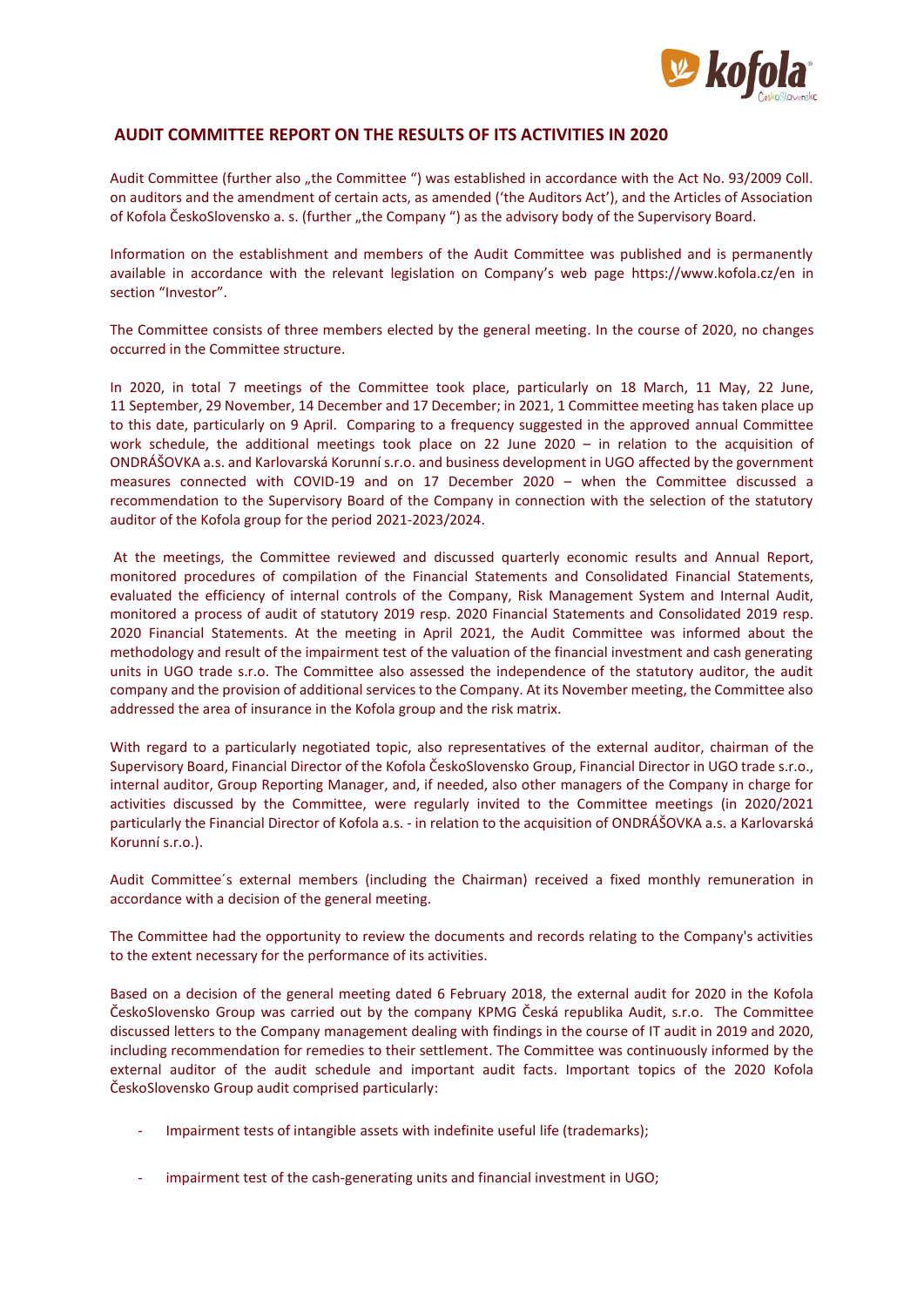

## **AUDIT COMMITTEE REPORT ON THE RESULTS OF ITS ACTIVITIES IN 2020**

Audit Committee (further also "the Committee ") was established in accordance with the Act No. 93/2009 Coll. on auditors and the amendment of certain acts, as amended ('the Auditors Act'), and the Articles of Association of Kofola ČeskoSlovensko a. s. (further "the Company ") as the advisory body of the Supervisory Board.

Information on the establishment and members of the Audit Committee was published and is permanently available in accordance with the relevant legislation on Company's web page https://www.kofola.cz/en in section "Investor".

The Committee consists of three members elected by the general meeting. In the course of 2020, no changes occurred in the Committee structure.

In 2020, in total 7 meetings of the Committee took place, particularly on 18 March, 11 May, 22 June, 11 September, 29 November, 14 December and 17 December; in 2021, 1 Committee meeting has taken place up to this date, particularly on 9 April. Comparing to a frequency suggested in the approved annual Committee work schedule, the additional meetings took place on 22 June 2020 – in relation to the acquisition of ONDRÁŠOVKA a.s. and Karlovarská Korunní s.r.o. and business development in UGO affected by the government measures connected with COVID-19 and on 17 December 2020 – when the Committee discussed a recommendation to the Supervisory Board of the Company in connection with the selection of the statutory auditor of the Kofola group for the period 2021-2023/2024.

At the meetings, the Committee reviewed and discussed quarterly economic results and Annual Report, monitored procedures of compilation of the Financial Statements and Consolidated Financial Statements, evaluated the efficiency of internal controls of the Company, Risk Management System and Internal Audit, monitored a process of audit of statutory 2019 resp. 2020 Financial Statements and Consolidated 2019 resp. 2020 Financial Statements. At the meeting in April 2021, the Audit Committee was informed about the methodology and result of the impairment test of the valuation of the financial investment and cash generating units in UGO trade s.r.o. The Committee also assessed the independence of the statutory auditor, the audit company and the provision of additional services to the Company. At its November meeting, the Committee also addressed the area of insurance in the Kofola group and the risk matrix.

With regard to a particularly negotiated topic, also representatives of the external auditor, chairman of the Supervisory Board, Financial Director of the Kofola ČeskoSlovensko Group, Financial Director in UGO trade s.r.o., internal auditor, Group Reporting Manager, and, if needed, also other managers of the Company in charge for activities discussed by the Committee, were regularly invited to the Committee meetings (in 2020/2021 particularly the Financial Director of Kofola a.s. - in relation to the acquisition of ONDRÁŠOVKA a.s. a Karlovarská Korunní s.r.o.).

Audit Committee´s external members (including the Chairman) received a fixed monthly remuneration in accordance with a decision of the general meeting.

The Committee had the opportunity to review the documents and records relating to the Company's activities to the extent necessary for the performance of its activities.

Based on a decision of the general meeting dated 6 February 2018, the external audit for 2020 in the Kofola ČeskoSlovensko Group was carried out by the company KPMG Česká republika Audit, s.r.o. The Committee discussed letters to the Company management dealing with findings in the course of IT audit in 2019 and 2020, including recommendation for remedies to their settlement. The Committee was continuously informed by the external auditor of the audit schedule and important audit facts. Important topics of the 2020 Kofola ČeskoSlovensko Group audit comprised particularly:

- Impairment tests of intangible assets with indefinite useful life (trademarks);
- impairment test of the cash-generating units and financial investment in UGO;